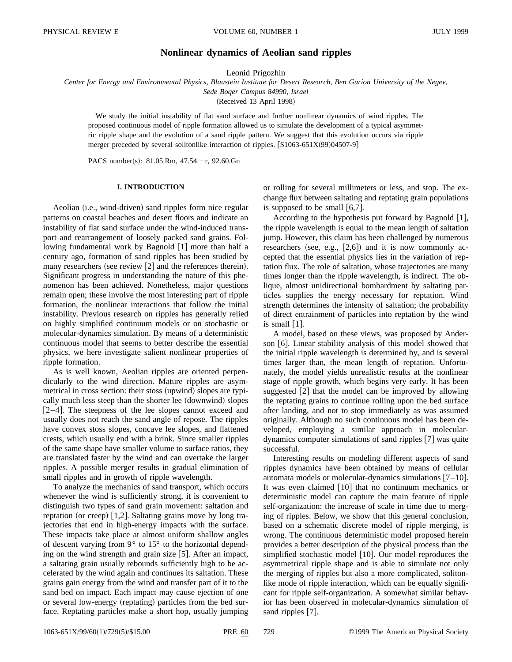# **Nonlinear dynamics of Aeolian sand ripples**

Leonid Prigozhin

*Center for Energy and Environmental Physics, Blaustein Institute for Desert Research, Ben Gurion University of the Negev, Sede Boqer Campus 84990, Israel*

(Received 13 April 1998)

We study the initial instability of flat sand surface and further nonlinear dynamics of wind ripples. The proposed continuous model of ripple formation allowed us to simulate the development of a typical asymmetric ripple shape and the evolution of a sand ripple pattern. We suggest that this evolution occurs via ripple merger preceded by several solitonlike interaction of ripples.  $[S1063-651X(99)04507-9]$ 

PACS number(s): 81.05.Rm, 47.54.+r, 92.60.Gn

## **I. INTRODUCTION**

Aeolian (i.e., wind-driven) sand ripples form nice regular patterns on coastal beaches and desert floors and indicate an instability of flat sand surface under the wind-induced transport and rearrangement of loosely packed sand grains. Following fundamental work by Bagnold  $[1]$  more than half a century ago, formation of sand ripples has been studied by many researchers (see review  $[2]$  and the references therein). Significant progress in understanding the nature of this phenomenon has been achieved. Nonetheless, major questions remain open; these involve the most interesting part of ripple formation, the nonlinear interactions that follow the initial instability. Previous research on ripples has generally relied on highly simplified continuum models or on stochastic or molecular-dynamics simulation. By means of a deterministic continuous model that seems to better describe the essential physics, we here investigate salient nonlinear properties of ripple formation.

As is well known, Aeolian ripples are oriented perpendicularly to the wind direction. Mature ripples are asymmetrical in cross section: their stoss (upwind) slopes are typically much less steep than the shorter lee (downwind) slopes  $[2-4]$ . The steepness of the lee slopes cannot exceed and usually does not reach the sand angle of repose. The ripples have convex stoss slopes, concave lee slopes, and flattened crests, which usually end with a brink. Since smaller ripples of the same shape have smaller volume to surface ratios, they are translated faster by the wind and can overtake the larger ripples. A possible merger results in gradual elimination of small ripples and in growth of ripple wavelength.

To analyze the mechanics of sand transport, which occurs whenever the wind is sufficiently strong, it is convenient to distinguish two types of sand grain movement: saltation and reptation (or creep)  $\vert 1,2 \vert$ . Saltating grains move by long trajectories that end in high-energy impacts with the surface. These impacts take place at almost uniform shallow angles of descent varying from 9° to 15° to the horizontal depending on the wind strength and grain size  $[5]$ . After an impact, a saltating grain usually rebounds sufficiently high to be accelerated by the wind again and continues its saltation. These grains gain energy from the wind and transfer part of it to the sand bed on impact. Each impact may cause ejection of one or several low-energy (reptating) particles from the bed surface. Reptating particles make a short hop, usually jumping or rolling for several millimeters or less, and stop. The exchange flux between saltating and reptating grain populations is supposed to be small  $[6,7]$ .

According to the hypothesis put forward by Bagnold  $[1]$ , the ripple wavelength is equal to the mean length of saltation jump. However, this claim has been challenged by numerous researchers (see, e.g.,  $[2,6]$ ) and it is now commonly accepted that the essential physics lies in the variation of reptation flux. The role of saltation, whose trajectories are many times longer than the ripple wavelength, is indirect. The oblique, almost unidirectional bombardment by saltating particles supplies the energy necessary for reptation. Wind strength determines the intensity of saltation; the probability of direct entrainment of particles into reptation by the wind is small  $[1]$ .

A model, based on these views, was proposed by Anderson [6]. Linear stability analysis of this model showed that the initial ripple wavelength is determined by, and is several times larger than, the mean length of reptation. Unfortunately, the model yields unrealistic results at the nonlinear stage of ripple growth, which begins very early. It has been suggested  $\lceil 2 \rceil$  that the model can be improved by allowing the reptating grains to continue rolling upon the bed surface after landing, and not to stop immediately as was assumed originally. Although no such continuous model has been developed, employing a similar approach in moleculardynamics computer simulations of sand ripples  $[7]$  was quite successful.

Interesting results on modeling different aspects of sand ripples dynamics have been obtained by means of cellular automata models or molecular-dynamics simulations  $[7-10]$ . It was even claimed  $\lceil 10 \rceil$  that no continuum mechanics or deterministic model can capture the main feature of ripple self-organization: the increase of scale in time due to merging of ripples. Below, we show that this general conclusion, based on a schematic discrete model of ripple merging, is wrong. The continuous deterministic model proposed herein provides a better description of the physical process than the simplified stochastic model  $[10]$ . Our model reproduces the asymmetrical ripple shape and is able to simulate not only the merging of ripples but also a more complicated, solitonlike mode of ripple interaction, which can be equally significant for ripple self-organization. A somewhat similar behavior has been observed in molecular-dynamics simulation of sand ripples [7].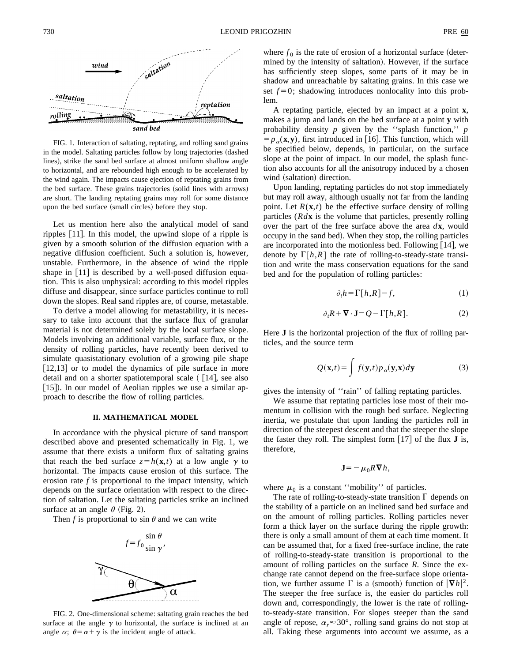

FIG. 1. Interaction of saltating, reptating, and rolling sand grains in the model. Saltating particles follow by long trajectories (dashed lines), strike the sand bed surface at almost uniform shallow angle to horizontal, and are rebounded high enough to be accelerated by the wind again. The impacts cause ejection of reptating grains from the bed surface. These grains trajectories (solid lines with arrows) are short. The landing reptating grains may roll for some distance upon the bed surface (small circles) before they stop.

Let us mention here also the analytical model of sand ripples  $[11]$ . In this model, the upwind slope of a ripple is given by a smooth solution of the diffusion equation with a negative diffusion coefficient. Such a solution is, however, unstable. Furthermore, in the absence of wind the ripple shape in  $[11]$  is described by a well-posed diffusion equation. This is also unphysical: according to this model ripples diffuse and disappear, since surface particles continue to roll down the slopes. Real sand ripples are, of course, metastable.

To derive a model allowing for metastability, it is necessary to take into account that the surface flux of granular material is not determined solely by the local surface slope. Models involving an additional variable, surface flux, or the density of rolling particles, have recently been derived to simulate quasistationary evolution of a growing pile shape  $[12,13]$  or to model the dynamics of pile surface in more detail and on a shorter spatiotemporal scale  $(14]$ , see also [15]). In our model of Aeolian ripples we use a similar approach to describe the flow of rolling particles.

### **II. MATHEMATICAL MODEL**

In accordance with the physical picture of sand transport described above and presented schematically in Fig. 1, we assume that there exists a uniform flux of saltating grains that reach the bed surface  $z = h(\mathbf{x}, t)$  at a low angle  $\gamma$  to horizontal. The impacts cause erosion of this surface. The erosion rate *f* is proportional to the impact intensity, which depends on the surface orientation with respect to the direction of saltation. Let the saltating particles strike an inclined surface at an angle  $\theta$  (Fig. 2).

Then *f* is proportional to sin  $\theta$  and we can write



FIG. 2. One-dimensional scheme: saltating grain reaches the bed surface at the angle  $\gamma$  to horizontal, the surface is inclined at an angle  $\alpha$ ;  $\theta = \alpha + \gamma$  is the incident angle of attack.

where  $f_0$  is the rate of erosion of a horizontal surface (determined by the intensity of saltation). However, if the surface has sufficiently steep slopes, some parts of it may be in shadow and unreachable by saltating grains. In this case we set  $f=0$ ; shadowing introduces nonlocality into this problem.

A reptating particle, ejected by an impact at a point **x**, makes a jump and lands on the bed surface at a point **y** with probability density *p* given by the ''splash function,'' *p*  $= p_{\alpha}(\mathbf{x}, \mathbf{y})$ , first introduced in [16]. This function, which will be specified below, depends, in particular, on the surface slope at the point of impact. In our model, the splash function also accounts for all the anisotropy induced by a chosen wind (saltation) direction.

Upon landing, reptating particles do not stop immediately but may roll away, although usually not far from the landing point. Let  $R(\mathbf{x},t)$  be the effective surface density of rolling particles (*Rd***x** is the volume that particles, presently rolling over the part of the free surface above the area *d***x**, would occupy in the sand bed). When they stop, the rolling particles are incorporated into the motionless bed. Following  $[14]$ , we denote by  $\Gamma[h, R]$  the rate of rolling-to-steady-state transition and write the mass conservation equations for the sand bed and for the population of rolling particles:

$$
\partial_t h = \Gamma[h, R] - f,\tag{1}
$$

$$
\partial_t R + \nabla \cdot \mathbf{J} = Q - \Gamma[h, R]. \tag{2}
$$

Here **J** is the horizontal projection of the flux of rolling particles, and the source term

$$
Q(\mathbf{x},t) = \int f(\mathbf{y},t) p_{\alpha}(\mathbf{y},\mathbf{x}) d\mathbf{y}
$$
 (3)

gives the intensity of ''rain'' of falling reptating particles.

We assume that reptating particles lose most of their momentum in collision with the rough bed surface. Neglecting inertia, we postulate that upon landing the particles roll in direction of the steepest descent and that the steeper the slope the faster they roll. The simplest form  $\lceil 17 \rceil$  of the flux **J** is, therefore,

$$
\mathbf{J} = -\mu_0 R \mathbf{\nabla} h,
$$

where  $\mu_0$  is a constant "mobility" of particles.

The rate of rolling-to-steady-state transition  $\Gamma$  depends on the stability of a particle on an inclined sand bed surface and on the amount of rolling particles. Rolling particles never form a thick layer on the surface during the ripple growth: there is only a small amount of them at each time moment. It can be assumed that, for a fixed free-surface incline, the rate of rolling-to-steady-state transition is proportional to the amount of rolling particles on the surface *R*. Since the exchange rate cannot depend on the free-surface slope orientation, we further assume  $\Gamma$  is a (smooth) function of  $|\nabla h|^2$ . The steeper the free surface is, the easier do particles roll down and, correspondingly, the lower is the rate of rollingto-steady-state transition. For slopes steeper than the sand angle of repose,  $\alpha_r \approx 30^\circ$ , rolling sand grains do not stop at all. Taking these arguments into account we assume, as a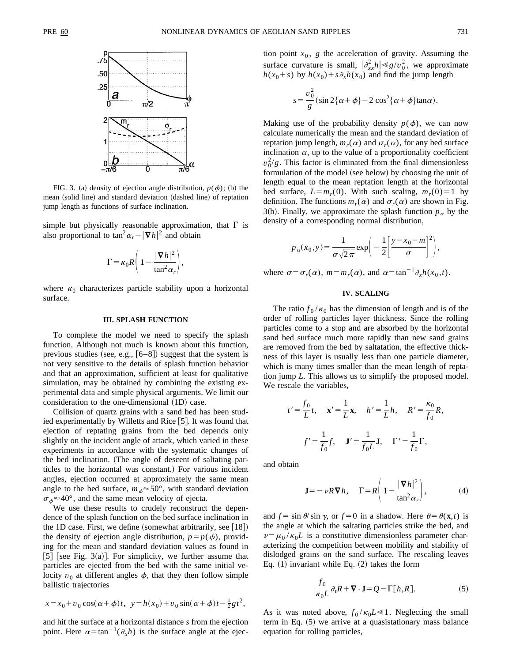

FIG. 3. (a) density of ejection angle distribution,  $p(\phi)$ ; (b) the mean (solid line) and standard deviation (dashed line) of reptation jump length as functions of surface inclination.

simple but physically reasonable approximation, that  $\Gamma$  is also proportional to  $\tan^2\alpha_r - |\nabla h|^2$  and obtain

$$
\Gamma = \kappa_0 R \left( 1 - \frac{|\nabla h|^2}{\tan^2 \alpha_r} \right),
$$

where  $\kappa_0$  characterizes particle stability upon a horizontal surface.

#### **III. SPLASH FUNCTION**

To complete the model we need to specify the splash function. Although not much is known about this function, previous studies (see, e.g.,  $[6–8]$ ) suggest that the system is not very sensitive to the details of splash function behavior and that an approximation, sufficient at least for qualitative simulation, may be obtained by combining the existing experimental data and simple physical arguments. We limit our consideration to the one-dimensional  $(1D)$  case.

Collision of quartz grains with a sand bed has been studied experimentally by Willetts and Rice  $[5]$ . It was found that ejection of reptating grains from the bed depends only slightly on the incident angle of attack, which varied in these experiments in accordance with the systematic changes of the bed inclination. (The angle of descent of saltating particles to the horizontal was constant.) For various incident angles, ejection occurred at approximately the same mean angle to the bed surface,  $m_{\phi} \approx 50^{\circ}$ , with standard deviation  $\sigma_{\phi} \approx 40^{\circ}$ , and the same mean velocity of ejecta.

We use these results to crudely reconstruct the dependence of the splash function on the bed surface inclination in the 1D case. First, we define (somewhat arbitrarily, see  $[18]$ ) the density of ejection angle distribution,  $p = p(\phi)$ , providing for the mean and standard deviation values as found in [5] [see Fig. 3(a)]. For simplicity, we further assume that particles are ejected from the bed with the same initial velocity  $v_0$  at different angles  $\phi$ , that they then follow simple ballistic trajectories

$$
x = x_0 + v_0 \cos(\alpha + \phi)t, \ \ y = h(x_0) + v_0 \sin(\alpha + \phi)t - \frac{1}{2}gt^2,
$$

and hit the surface at a horizontal distance *s* from the ejection point. Here  $\alpha = \tan^{-1}(\partial_x h)$  is the surface angle at the ejection point  $x_0$ ,  $g$  the acceleration of gravity. Assuming the surface curvature is small,  $|\partial_{xx}^2 h| \ll g/v_0^2$ , we approximate  $h(x_0+s)$  by  $h(x_0)+s\partial_x h(x_0)$  and find the jump length

$$
s = \frac{v_0^2}{g} \left( \sin 2\{\alpha + \phi\} - 2\cos^2\{\alpha + \phi\} \tan \alpha \right).
$$

Making use of the probability density  $p(\phi)$ , we can now calculate numerically the mean and the standard deviation of reptation jump length,  $m_r(\alpha)$  and  $\sigma_r(\alpha)$ , for any bed surface inclination  $\alpha$ , up to the value of a proportionality coefficient  $v_0^2/g$ . This factor is eliminated from the final dimensionless formulation of the model (see below) by choosing the unit of length equal to the mean reptation length at the horizontal bed surface,  $L = m_r(0)$ . With such scaling,  $m_r(0) = 1$  by definition. The functions  $m_r(\alpha)$  and  $\sigma_r(\alpha)$  are shown in Fig. 3(b). Finally, we approximate the splash function  $p_\alpha$  by the density of a corresponding normal distribution,

$$
p_{\alpha}(x_0, y) = \frac{1}{\sigma \sqrt{2\pi}} \exp\bigg(-\frac{1}{2} \bigg[\frac{y - x_0 - m}{\sigma}\bigg]^2\bigg),
$$

where  $\sigma = \sigma_r(\alpha)$ ,  $m = m_r(\alpha)$ , and  $\alpha = \tan^{-1}\partial_x h(x_0, t)$ .

## **IV. SCALING**

The ratio  $f_0/\kappa_0$  has the dimension of length and is of the order of rolling particles layer thickness. Since the rolling particles come to a stop and are absorbed by the horizontal sand bed surface much more rapidly than new sand grains are removed from the bed by saltatation, the effective thickness of this layer is usually less than one particle diameter, which is many times smaller than the mean length of reptation jump *L*. This allows us to simplify the proposed model. We rescale the variables,

$$
t' = \frac{f_0}{L}t, \quad \mathbf{x}' = \frac{1}{L}\mathbf{x}, \quad h' = \frac{1}{L}h, \quad R' = \frac{\kappa_0}{f_0}R,
$$

$$
f' = \frac{1}{f_0}f, \quad \mathbf{J}' = \frac{1}{f_0L}\mathbf{J}, \quad \Gamma' = \frac{1}{f_0}\Gamma,
$$

and obtain

$$
\mathbf{J} = -\nu R \mathbf{\nabla} h, \quad \Gamma = R \left( 1 - \frac{|\mathbf{\nabla} h|^2}{\tan^2 \alpha_r} \right), \tag{4}
$$

and  $f = \sin \theta / \sin \gamma$ , or  $f = 0$  in a shadow. Here  $\theta = \theta(\mathbf{x}, t)$  is the angle at which the saltating particles strike the bed, and  $\nu = \mu_0 / \kappa_0 L$  is a constitutive dimensionless parameter characterizing the competition between mobility and stability of dislodged grains on the sand surface. The rescaling leaves Eq.  $(1)$  invariant while Eq.  $(2)$  takes the form

$$
\frac{f_0}{\kappa_0 L} \partial_t R + \mathbf{\nabla} \cdot \mathbf{J} = Q - \Gamma[h, R].
$$
 (5)

As it was noted above,  $f_0 / \kappa_0 L \ll 1$ . Neglecting the small term in Eq.  $(5)$  we arrive at a quasistationary mass balance equation for rolling particles,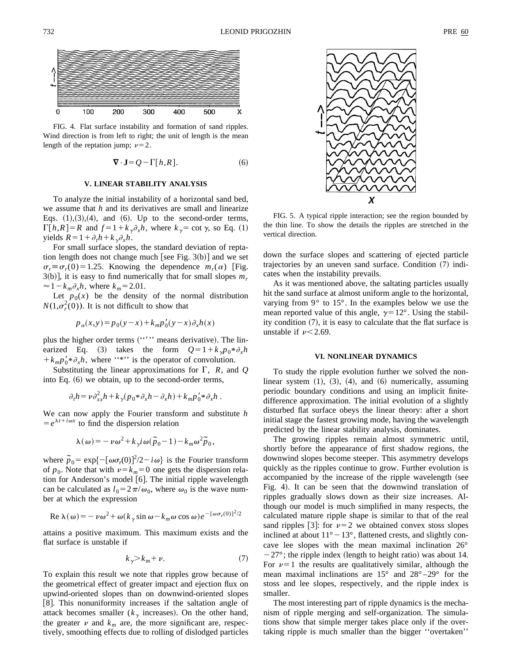

FIG. 4. Flat surface instability and formation of sand ripples. Wind direction is from left to right; the unit of length is the mean length of the reptation jump;  $\nu=2$ .

$$
\nabla \cdot \mathbf{J} = Q - \Gamma[h, R]. \tag{6}
$$

## **V. LINEAR STABILITY ANALYSIS**

To analyze the initial instability of a horizontal sand bed, we assume that *h* and its derivatives are small and linearize Eqs.  $(1),(3),(4)$ , and  $(6)$ . Up to the second-order terms,  $\Gamma[h,R] = R$  and  $f = 1 + k_y \partial_x h$ , where  $k_y = \cot \gamma$ , so Eq. (1) yields  $R = 1 + \partial_t h + k_x \partial_x h$ .

For small surface slopes, the standard deviation of reptation length does not change much [see Fig.  $3(b)$ ] and we set  $\sigma_r \equiv \sigma_r(0) = 1.25$ . Knowing the dependence  $m_r(\alpha)$  [Fig.  $3(b)$ , it is easy to find numerically that for small slopes  $m<sub>r</sub>$  $\approx 1-k_m\partial_x h$ , where  $k_m=2.01$ .

Let  $p_0(x)$  be the density of the normal distribution  $N(1,\sigma_r^2(0))$ . It is not difficult to show that

$$
p_{\alpha}(x, y) = p_0(y - x) + k_m p'_0(y - x) \partial_x h(x)
$$

plus the higher order terms ("'" means derivative). The linearized Eq. (3) takes the form  $Q=1+k_{\gamma}p_{0}*\partial_{\gamma}h$  $+k_{m}p_{0}^{\prime}*\partial_{x}h$ , where ''\*'' is the operator of convolution.

Substituting the linear approximations for  $\Gamma$ , *R*, and *Q* into Eq.  $(6)$  we obtain, up to the second-order terms,

$$
\partial_t h = \nu \partial_{xx}^2 h + k \gamma (p_0 * \partial_x h - \partial_x h) + k_m p'_0 * \partial_x h.
$$

We can now apply the Fourier transform and substitute *h*  $= e^{\lambda t + i\omega x}$  to find the dispersion relation

$$
\lambda(\omega) = -\nu \omega^2 + k_{\gamma} i \omega (\tilde{p}_0 - 1) - k_m \omega^2 \tilde{p}_0,
$$

where  $\tilde{p}_0 = \exp\{-\left[\omega \sigma_r(0)\right]^2/2 - i\omega\}$  is the Fourier transform of  $p_0$ . Note that with  $v = k_m = 0$  one gets the dispersion relation for Anderson's model  $[6]$ . The initial ripple wavelength can be calculated as  $l_0 = 2\pi/\omega_0$ , where  $\omega_0$  is the wave number at which the expression

Re 
$$
\lambda(\omega) = -\nu \omega^2 + \omega (k_{\gamma} \sin \omega - k_m \omega \cos \omega) e^{-[\omega \sigma_r(0)]^2/2}
$$

attains a positive maximum. This maximum exists and the flat surface is unstable if

$$
k_{\gamma} > k_m + \nu. \tag{7}
$$

To explain this result we note that ripples grow because of the geometrical effect of greater impact and ejection flux on upwind-oriented slopes than on downwind-oriented slopes [8]. This nonuniformity increases if the saltation angle of attack becomes smaller  $(k_{\gamma}$  increases). On the other hand, the greater  $\nu$  and  $k_m$  are, the more significant are, respectively, smoothing effects due to rolling of dislodged particles



FIG. 5. A typical ripple interaction; see the region bounded by the thin line. To show the details the ripples are stretched in the vertical direction.

down the surface slopes and scattering of ejected particle trajectories by an uneven sand surface. Condition  $(7)$  indicates when the instability prevails.

As it was mentioned above, the saltating particles usually hit the sand surface at almost uniform angle to the horizontal, varying from 9° to 15°. In the examples below we use the mean reported value of this angle,  $\gamma=12^{\circ}$ . Using the stability condition  $(7)$ , it is easy to calculate that the flat surface is unstable if  $\nu$  < 2.69.

#### **VI. NONLINEAR DYNAMICS**

To study the ripple evolution further we solved the nonlinear system  $(1)$ ,  $(3)$ ,  $(4)$ , and  $(6)$  numerically, assuming periodic boundary conditions and using an implicit finitedifference approximation. The initial evolution of a slightly disturbed flat surface obeys the linear theory: after a short initial stage the fastest growing mode, having the wavelength predicted by the linear stability analysis, dominates.

The growing ripples remain almost symmetric until, shortly before the appearance of first shadow regions, the downwind slopes become steeper. This asymmetry develops quickly as the ripples continue to grow. Further evolution is accompanied by the increase of the ripple wavelength (see Fig. 4). It can be seen that the downwind translation of ripples gradually slows down as their size increases. Although our model is much simplified in many respects, the calculated mature ripple shape is similar to that of the real sand ripples [3]: for  $\nu=2$  we obtained convex stoss slopes inclined at about  $11^{\circ} - 13^{\circ}$ , flattened crests, and slightly concave lee slopes with the mean maximal inclination 26°  $-27^{\circ}$ ; the ripple index (length to height ratio) was about 14. For  $\nu=1$  the results are qualitatively similar, although the mean maximal inclinations are  $15^{\circ}$  and  $28^{\circ} - 29^{\circ}$  for the stoss and lee slopes, respectively, and the ripple index is smaller.

The most interesting part of ripple dynamics is the mechanism of ripple merging and self-organization. The simulations show that simple merger takes place only if the overtaking ripple is much smaller than the bigger ''overtaken''